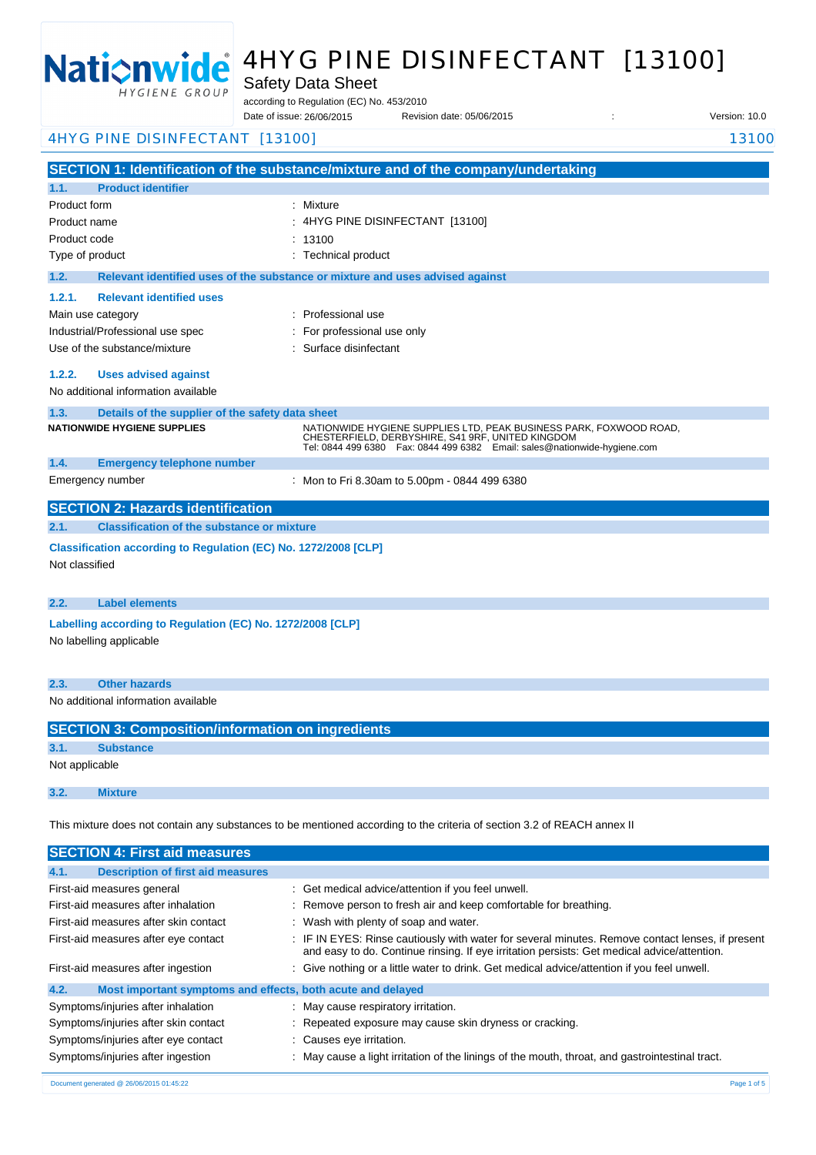

# 4HYG PINE DISINFECTANT [13100]

Safety Data Sheet

according to Regulation (EC) No. 453/2010

Date of issue: Revision date: 05/06/2015 : Version: 10.0 26/06/2015

4HYG PINE DISINFECTANT [13100] 13100

**SECTION 1: Identification of the substance/mixture and of the company/undertaking 1.1. Product identifier** Product form : Nixture : Mixture Product name : Product code Type of product Type of product in the set of the set of the set of the set of the set of the set of the set of the set of the set of the set of the set of the set of the set of the set of the set of the set of the set of **1.2. Relevant identified uses of the substance or mixture and uses advised against 1.2.1. Relevant identified uses**  Main use category **intervalled** and the category of the category of the category of the category of the category Industrial/Professional use spec : For professional use only Use of the substance/mixture in the substance of the substance of the substance of the substance of the substance of the substance of the substance of the substance of the substance of the substance of the substance of the **1.2.2. Uses advised against** No additional information available **1.3. Details of the supplier of the safety data sheet 1.4. Emergency telephone number** Emergency number : **SECTION 2: Hazards identification 2.1. Classification of the substance or mixture Classification according to Regulation (EC) No. 1272/2008 [CLP]** Not classified **2.2. Label elements Labelling according to Regulation (EC) No. 1272/2008 [CLP]** No labelling applicable **2.3. Other hazards** 4HYG PINE DISINFECTANT [13100]  $: 13100$ **NATIONWIDE HYGIENE SUPPLIES** NATIONWIDE HYGIENE SUPPLIES LTD, PEAK BUSINESS PARK, FOXWOOD ROAD, CHESTERFIELD, DERBYSHIRE, S41 9RF, UNITED KINGDOM Tel: 0844 499 6380 Fax: 0844 499 6382 Email: sales@nationwide-hygiene.com Mon to Fri 8.30am to 5.00pm - 0844 499 6380

No additional information available

|                | <b>SECTION 3: Composition/information on ingredients</b> |  |  |
|----------------|----------------------------------------------------------|--|--|
| 3.1.           | <b>Substance</b>                                         |  |  |
| Not applicable |                                                          |  |  |
|                |                                                          |  |  |
| 3.2.           | <b>Mixture</b>                                           |  |  |

This mixture does not contain any substances to be mentioned according to the criteria of section 3.2 of REACH annex II

| <b>SECTION 4: First aid measures</b>                                |                                                                                                                                                                                                 |
|---------------------------------------------------------------------|-------------------------------------------------------------------------------------------------------------------------------------------------------------------------------------------------|
| <b>Description of first aid measures</b><br>4.1.                    |                                                                                                                                                                                                 |
| First-aid measures general                                          | : Get medical advice/attention if you feel unwell.                                                                                                                                              |
| First-aid measures after inhalation                                 | : Remove person to fresh air and keep comfortable for breathing.                                                                                                                                |
| First-aid measures after skin contact                               | : Wash with plenty of soap and water.                                                                                                                                                           |
| First-aid measures after eye contact                                | : IF IN EYES: Rinse cautiously with water for several minutes. Remove contact lenses, if present<br>and easy to do. Continue rinsing. If eye irritation persists: Get medical advice/attention. |
| First-aid measures after ingestion                                  | : Give nothing or a little water to drink. Get medical advice/attention if you feel unwell.                                                                                                     |
| 4.2.<br>Most important symptoms and effects, both acute and delayed |                                                                                                                                                                                                 |
| Symptoms/injuries after inhalation                                  | : May cause respiratory irritation.                                                                                                                                                             |
| Symptoms/injuries after skin contact                                | : Repeated exposure may cause skin dryness or cracking.                                                                                                                                         |
| Symptoms/injuries after eye contact                                 | : Causes eye irritation.                                                                                                                                                                        |
| Symptoms/injuries after ingestion                                   | : May cause a light irritation of the linings of the mouth, throat, and gastrointestinal tract.                                                                                                 |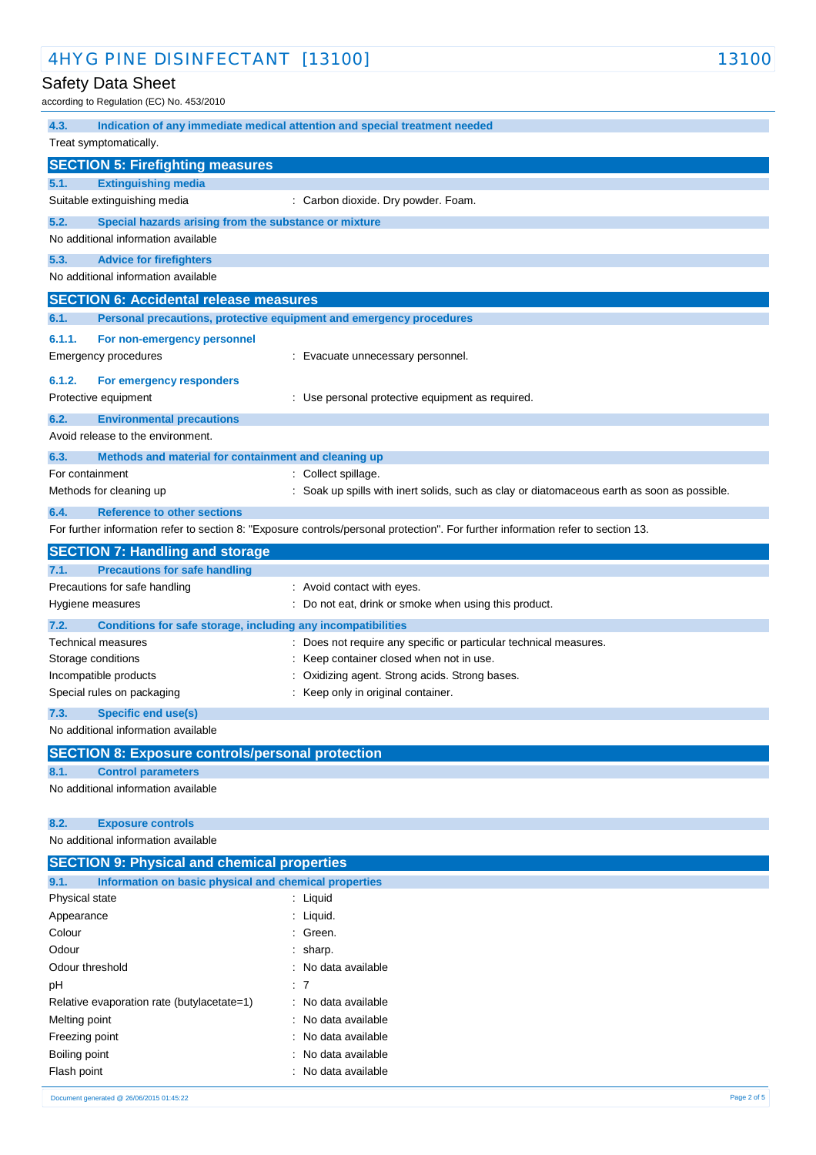| 4HYG PINE DISINFECTANT [13100]                                                | 13100                                                                                                                             |
|-------------------------------------------------------------------------------|-----------------------------------------------------------------------------------------------------------------------------------|
| Safety Data Sheet                                                             |                                                                                                                                   |
| according to Regulation (EC) No. 453/2010                                     |                                                                                                                                   |
| 4.3.                                                                          | Indication of any immediate medical attention and special treatment needed                                                        |
| Treat symptomatically.                                                        |                                                                                                                                   |
| <b>SECTION 5: Firefighting measures</b>                                       |                                                                                                                                   |
| 5.1.<br><b>Extinguishing media</b>                                            |                                                                                                                                   |
| Suitable extinguishing media                                                  | : Carbon dioxide. Dry powder. Foam.                                                                                               |
| 5.2.<br>Special hazards arising from the substance or mixture                 |                                                                                                                                   |
| No additional information available                                           |                                                                                                                                   |
| 5.3.<br><b>Advice for firefighters</b>                                        |                                                                                                                                   |
| No additional information available                                           |                                                                                                                                   |
| <b>SECTION 6: Accidental release measures</b>                                 |                                                                                                                                   |
| 6.1.                                                                          | Personal precautions, protective equipment and emergency procedures                                                               |
| 6.1.1.<br>For non-emergency personnel                                         |                                                                                                                                   |
| Emergency procedures                                                          | : Evacuate unnecessary personnel.                                                                                                 |
|                                                                               |                                                                                                                                   |
| 6.1.2.<br>For emergency responders<br>Protective equipment                    | : Use personal protective equipment as required.                                                                                  |
|                                                                               |                                                                                                                                   |
| 6.2.<br><b>Environmental precautions</b><br>Avoid release to the environment. |                                                                                                                                   |
|                                                                               |                                                                                                                                   |
| 6.3.<br>Methods and material for containment and cleaning up                  |                                                                                                                                   |
| For containment<br>Methods for cleaning up                                    | : Collect spillage.<br>: Soak up spills with inert solids, such as clay or diatomaceous earth as soon as possible.                |
| <b>Reference to other sections</b><br>6.4.                                    |                                                                                                                                   |
|                                                                               | For further information refer to section 8: "Exposure controls/personal protection". For further information refer to section 13. |
| <b>SECTION 7: Handling and storage</b>                                        |                                                                                                                                   |
| 7.1.<br><b>Precautions for safe handling</b>                                  |                                                                                                                                   |
| Precautions for safe handling                                                 | : Avoid contact with eyes.                                                                                                        |
| Hygiene measures                                                              | : Do not eat, drink or smoke when using this product.                                                                             |
| 7.2.<br>Conditions for safe storage, including any incompatibilities          |                                                                                                                                   |
| Technical measures                                                            | : Does not require any specific or particular technical measures.                                                                 |
| Storage conditions                                                            | Keep container closed when not in use.                                                                                            |
| Incompatible products                                                         | : Oxidizing agent. Strong acids. Strong bases.                                                                                    |
| Special rules on packaging                                                    | : Keep only in original container.                                                                                                |
| 7.3.<br><b>Specific end use(s)</b>                                            |                                                                                                                                   |
| No additional information available                                           |                                                                                                                                   |
| <b>SECTION 8: Exposure controls/personal protection</b>                       |                                                                                                                                   |
| <b>Control parameters</b><br>8.1.                                             |                                                                                                                                   |
| No additional information available                                           |                                                                                                                                   |
|                                                                               |                                                                                                                                   |
| 8.2.<br><b>Exposure controls</b>                                              |                                                                                                                                   |
| No additional information available                                           |                                                                                                                                   |
|                                                                               |                                                                                                                                   |
| <b>SECTION 9: Physical and chemical properties</b>                            |                                                                                                                                   |
| Information on basic physical and chemical properties<br>9.1.                 |                                                                                                                                   |
| Physical state                                                                | : Liquid                                                                                                                          |
| Appearance                                                                    | : Liquid.                                                                                                                         |
| Colour                                                                        | : Green.                                                                                                                          |
| Odour                                                                         | sharp.                                                                                                                            |
| Odour threshold                                                               | No data available                                                                                                                 |
| pH<br>Relative evaporation rate (butylacetate=1)                              | -7<br>: No data available                                                                                                         |

Freezing point **Example 20** and the state of the ST energy of the ST energy in the ST energy in the ST energy in the ST energy in the ST energy in the ST energy in the ST energy in the ST energy in the ST energy in the ST Boiling point **Example 2018** 2019 11: No data available Flash point **in the case of the case of the case of the case of the case of the case of the case of the case of the case of the case of the case of the case of the case of the case of the case of the case of the case of th**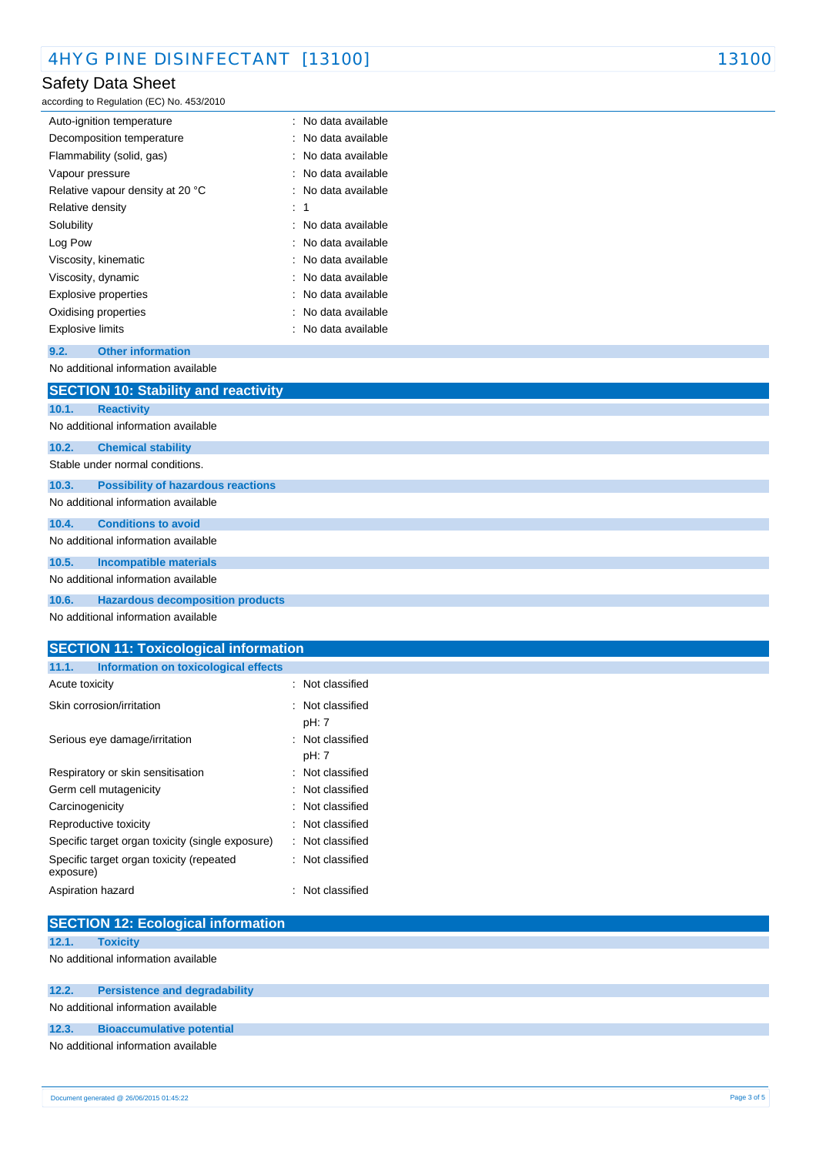# Safety Data Sheet

according to Regulation (EC) No. 453/2010

| Auto-ignition temperature        | : No data available |
|----------------------------------|---------------------|
| Decomposition temperature        | : No data available |
| Flammability (solid, gas)        | No data available   |
| Vapour pressure                  | : No data available |
| Relative vapour density at 20 °C | : No data available |
| Relative density                 | : 1                 |
| Solubility                       | : No data available |
| Log Pow                          | : No data available |
| Viscosity, kinematic             | : No data available |
| Viscosity, dynamic               | : No data available |
| Explosive properties             | : No data available |
| Oxidising properties             | : No data available |
| Explosive limits                 | : No data available |
|                                  |                     |

#### **9.2. Other information** No additional information available

|       | <b>SECTION 10: Stability and reactivity</b> |  |  |
|-------|---------------------------------------------|--|--|
| 10.1. | <b>Reactivity</b>                           |  |  |
|       | No additional information available         |  |  |
| 10.2. | <b>Chemical stability</b>                   |  |  |
|       | Stable under normal conditions.             |  |  |
| 10.3. | <b>Possibility of hazardous reactions</b>   |  |  |
|       | No additional information available         |  |  |
| 10.4. | <b>Conditions to avoid</b>                  |  |  |
|       | No additional information available         |  |  |
| 10.5. | <b>Incompatible materials</b>               |  |  |
|       | No additional information available         |  |  |
| 10.6. | <b>Hazardous decomposition products</b>     |  |  |
|       | No additional information available         |  |  |

### **SECTION 11: Toxicological information**

| 11.1.<br>Information on toxicological effects         |                             |
|-------------------------------------------------------|-----------------------------|
| Acute toxicity                                        | : Not classified            |
| Skin corrosion/irritation                             | : Not classified            |
|                                                       | pH: 7                       |
| Serious eye damage/irritation                         | : Not classified            |
|                                                       | pH: 7                       |
| Respiratory or skin sensitisation                     | : Not classified            |
| Germ cell mutagenicity                                | $\therefore$ Not classified |
| Carcinogenicity                                       | : Not classified            |
| Reproductive toxicity                                 | : Not classified            |
| Specific target organ toxicity (single exposure)      | : Not classified            |
| Specific target organ toxicity (repeated<br>exposure) | : Not classified            |
| Aspiration hazard                                     | : Not classified            |

|       | <b>SECTION 12: Ecological information</b> |  |
|-------|-------------------------------------------|--|
| 12.1. | <b>Toxicity</b>                           |  |
|       | No additional information available       |  |
| 12.2. | <b>Persistence and degradability</b>      |  |
|       | No additional information available       |  |
| 12.3. | <b>Bioaccumulative potential</b>          |  |
|       | No additional information available       |  |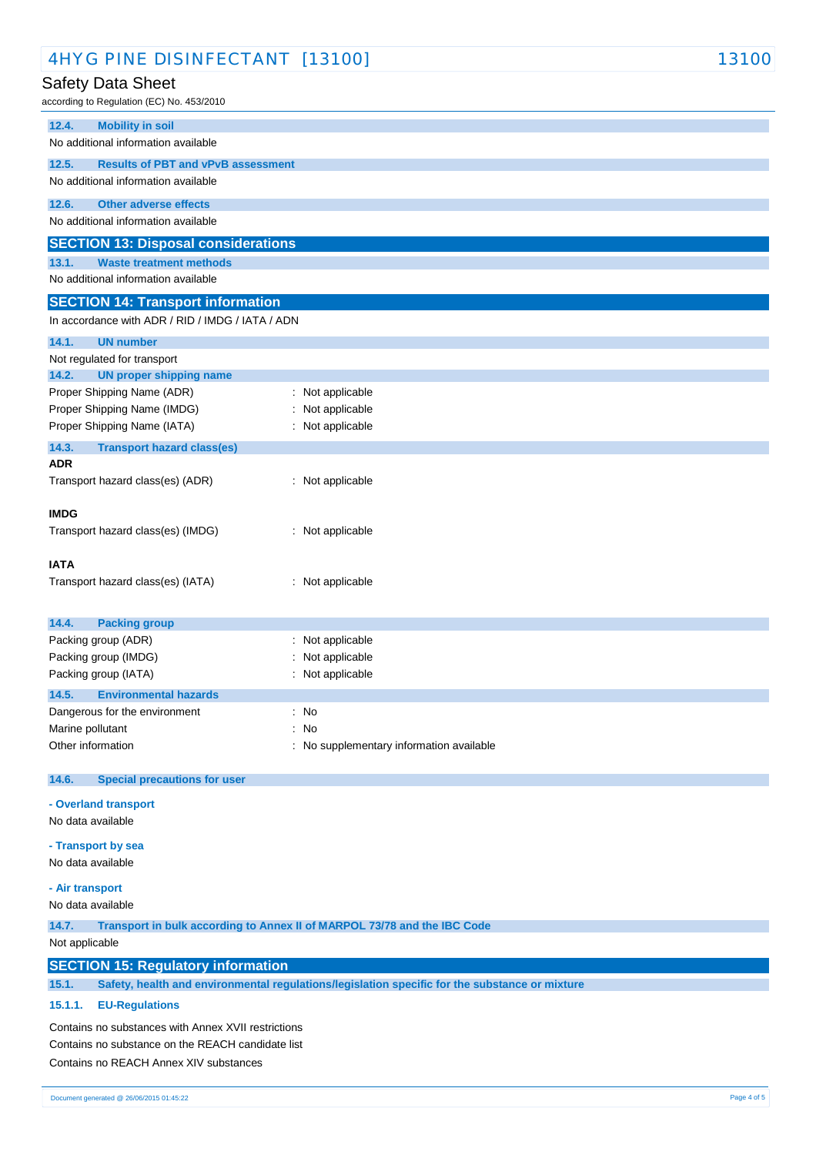| 4HYG PINE DISINFECTANT [13100]                                               |                                                                                                | 13100 |  |
|------------------------------------------------------------------------------|------------------------------------------------------------------------------------------------|-------|--|
| Safety Data Sheet                                                            |                                                                                                |       |  |
| according to Regulation (EC) No. 453/2010                                    |                                                                                                |       |  |
| <b>Mobility in soil</b><br>12.4.                                             |                                                                                                |       |  |
| No additional information available                                          |                                                                                                |       |  |
| 12.5.<br><b>Results of PBT and vPvB assessment</b>                           |                                                                                                |       |  |
| No additional information available                                          |                                                                                                |       |  |
| 12.6.<br><b>Other adverse effects</b><br>No additional information available |                                                                                                |       |  |
|                                                                              |                                                                                                |       |  |
| <b>SECTION 13: Disposal considerations</b><br><b>Waste treatment methods</b> |                                                                                                |       |  |
| 13.1.<br>No additional information available                                 |                                                                                                |       |  |
| <b>SECTION 14: Transport information</b>                                     |                                                                                                |       |  |
| In accordance with ADR / RID / IMDG / IATA / ADN                             |                                                                                                |       |  |
| 14.1.<br><b>UN number</b>                                                    |                                                                                                |       |  |
| Not regulated for transport                                                  |                                                                                                |       |  |
| 14.2.<br><b>UN proper shipping name</b>                                      |                                                                                                |       |  |
| Proper Shipping Name (ADR)                                                   | : Not applicable                                                                               |       |  |
| Proper Shipping Name (IMDG)                                                  | : Not applicable                                                                               |       |  |
| Proper Shipping Name (IATA)                                                  | : Not applicable                                                                               |       |  |
| 14.3.<br><b>Transport hazard class(es)</b><br><b>ADR</b>                     |                                                                                                |       |  |
| Transport hazard class(es) (ADR)                                             | : Not applicable                                                                               |       |  |
|                                                                              |                                                                                                |       |  |
| <b>IMDG</b>                                                                  |                                                                                                |       |  |
| Transport hazard class(es) (IMDG)                                            | : Not applicable                                                                               |       |  |
| <b>IATA</b>                                                                  |                                                                                                |       |  |
| Transport hazard class(es) (IATA)                                            | : Not applicable                                                                               |       |  |
|                                                                              |                                                                                                |       |  |
| 14.4.<br><b>Packing group</b>                                                |                                                                                                |       |  |
| Packing group (ADR)                                                          | : Not applicable                                                                               |       |  |
| Packing group (IMDG)                                                         | Not applicable                                                                                 |       |  |
| Packing group (IATA)                                                         | : Not applicable                                                                               |       |  |
| 14.5.<br><b>Environmental hazards</b>                                        |                                                                                                |       |  |
| Dangerous for the environment<br>Marine pollutant                            | : No<br>: No                                                                                   |       |  |
| Other information                                                            | : No supplementary information available                                                       |       |  |
|                                                                              |                                                                                                |       |  |
| 14.6.<br><b>Special precautions for user</b>                                 |                                                                                                |       |  |
| - Overland transport                                                         |                                                                                                |       |  |
| No data available                                                            |                                                                                                |       |  |
| - Transport by sea                                                           |                                                                                                |       |  |
| No data available                                                            |                                                                                                |       |  |
| - Air transport                                                              |                                                                                                |       |  |
| No data available                                                            |                                                                                                |       |  |
| 14.7.                                                                        | Transport in bulk according to Annex II of MARPOL 73/78 and the IBC Code                       |       |  |
| Not applicable                                                               |                                                                                                |       |  |
| <b>SECTION 15: Regulatory information</b>                                    |                                                                                                |       |  |
| 15.1.                                                                        | Safety, health and environmental regulations/legislation specific for the substance or mixture |       |  |
| 15.1.1.<br><b>EU-Regulations</b>                                             |                                                                                                |       |  |
| Contains no substances with Annex XVII restrictions                          |                                                                                                |       |  |
| Contains no substance on the REACH candidate list                            |                                                                                                |       |  |
| Contains no REACH Annex XIV substances                                       |                                                                                                |       |  |